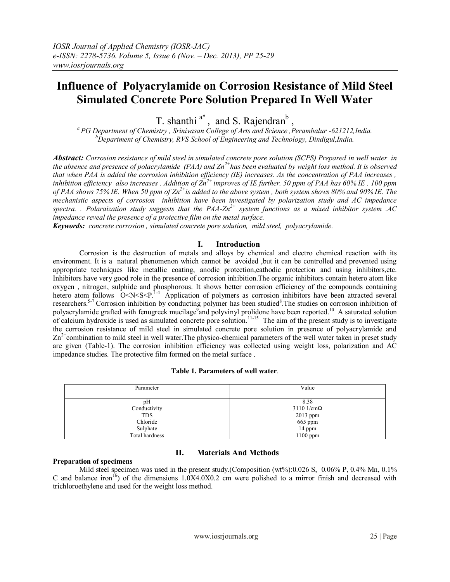# **Influence of Polyacrylamide on Corrosion Resistance of Mild Steel Simulated Concrete Pore Solution Prepared In Well Water**

T. shanthi<sup>a\*</sup>, and S. Rajendran<sup>b</sup>,

*<sup>a</sup>PG Department of Chemistry , Srinivasan College of Arts and Science ,Perambalur -621212,India. <sup>b</sup>Department of Chemistry, RVS School of Engineering and Technology, Dindigul,India.*

*Abstract: Corrosion resistance of mild steel in simulated concrete pore solution (SCPS) Prepared in well water in the absence and presence of polacrylamide (PAA) and Zn2+has been evaluated by weight loss method. It is observed that when PAA is added the corrosion inhibition efficiency (IE) increases. As the concentration of PAA increases , inhibition efficiency also increases . Addition of Zn2+ improves of IE further. 50 ppm of PAA has 60% IE . 100 ppm of PAA shows 75% IE. When 50 ppm of Zn2+is added to the above system , both system shows 80% and 90% IE. The mechanistic aspects of corrosion inhibition have been investigated by polarization study and AC impedance spectra. . Polaraization study suggests that the PAA-Zn2+ system functions as a mixed inhibitor system .AC impedance reveal the presence of a protective film on the metal surface.*

*Keywords: concrete corrosion , simulated concrete pore solution, mild steel, polyacrylamide.*

## **I. Introduction**

Corrosion is the destruction of metals and alloys by chemical and electro chemical reaction with its environment. It is a natural phenomenon which cannot be avoided ,but it can be controlled and prevented using appropriate techniques like metallic coating, anodic protection,cathodic protection and using inhibitors,etc. Inhibitors have very good role in the presence of corrosion inhibition.The organic inhibitors contain hetero atom like oxygen , nitrogen, sulphide and phosphorous. It shows better corrosion efficiency of the compounds containing hetero atom follows  $O \le N \le S \le P$ <sup>14</sup> Application of polymers as corrosion inhibitors have been attracted several researchers.<sup>5-7</sup> Corrosion inhibition by conducting polymer has been studied<sup>8</sup>. The studies on corrosion inhibition of polyacrylamide grafted with fenugreek mucilage<sup>9</sup>and polyvinyl prolidone have been reported.<sup>10</sup> A saturated solution of calcium hydroxide is used as simulated concrete pore solution.<sup>11-15</sup> The aim of the present study is to investigate the corrosion resistance of mild steel in simulated concrete pore solution in presence of polyacrylamide and  $Zn^{2+}$ combination to mild steel in well water. The physico-chemical parameters of the well water taken in preset study are given (Table-1). The corrosion inhibition efficiency was collected using weight loss, polarization and AC impedance studies. The protective film formed on the metal surface .

|  | Table 1. Parameters of well water. |  |  |
|--|------------------------------------|--|--|
|--|------------------------------------|--|--|

| Parameter      | Value                |
|----------------|----------------------|
| pH             | 8.38                 |
| Conductivity   | $3110$ 1/cm $\Omega$ |
| <b>TDS</b>     | $2013$ ppm           |
| Chloride       | 665 ppm              |
| Sulphate       | 14 ppm               |
| Total hardness | 1100 ppm             |

## **II. Materials And Methods**

## **Preparation of specimens**

Mild steel specimen was used in the present study.(Composition (wt%):0.026 S, 0.06% P, 0.4% Mn, 0.1% C and balance iron<sup>16</sup>) of the dimensions  $1.0X4.0X0.2$  cm were polished to a mirror finish and decreased with trichloroethylene and used for the weight loss method.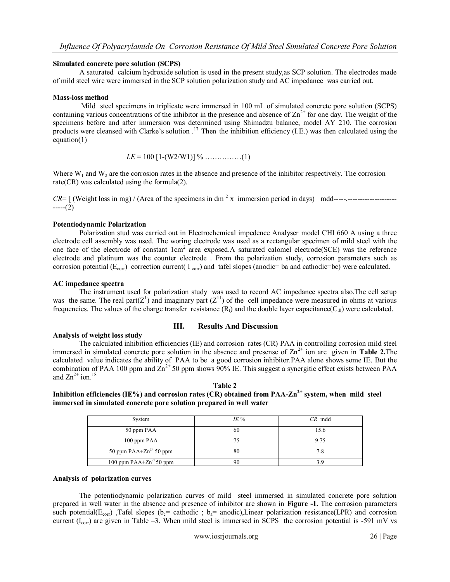### **Simulated concrete pore solution (SCPS)**

A saturated calcium hydroxide solution is used in the present study,as SCP solution. The electrodes made of mild steel wire were immersed in the SCP solution polarization study and AC impedance was carried out.

### **Mass-loss method**

Mild steel specimens in triplicate were immersed in 100 mL of simulated concrete pore solution (SCPS) containing various concentrations of the inhibitor in the presence and absence of  $\text{Zn}^{2+}$  for one day. The weight of the specimens before and after immersion was determined using Shimadzu balance, model AY 210. The corrosion products were cleansed with Clarke's solution  $.17$  Then the inhibition efficiency (I.E.) was then calculated using the equation $(1)$ 

$$
IE = 100 [1-(W2/W1)] % \dots (1)
$$

Where  $W_1$  and  $W_2$  are the corrosion rates in the absence and presence of the inhibitor respectively. The corrosion rate(CR) was calculated using the formula(2).

*CR*= [ (Weight loss in mg) / (Area of the specimens in dm <sup>2</sup> x immersion period in days) mdd-----.--------------------  $---(2)$ 

## **Potentiodynamic Polarization**

Polarization stud was carried out in Electrochemical impedence Analyser model CHI 660 A using a three electrode cell assembly was used. The woring electrode was used as a rectangular specimen of mild steel with the one face of the electrode of constant  $1cm^2$  area exposed.A saturated calomel electrode(SCE) was the reference electrode and platinum was the counter electrode . From the polarization study, corrosion parameters such as corrosion potential ( $E_{\text{corr}}$ ) correction current( I  $_{\text{corr}}$ ) and tafel slopes (anodic= ba and cathodic=bc) were calculated.

## **AC impedance spectra**

The instrument used for polarization study was used to record AC impedance spectra also.The cell setup was the same. The real part( $Z^1$ ) and imaginary part ( $Z^{11}$ ) of the cell impedance were measured in ohms at various frequencies. The values of the charge transfer resistance  $(R_t)$  and the double layer capacitance  $(C_{di})$  were calculated.

#### **III. Results And Discussion**

#### **Analysis of weight loss study**

The calculated inhibition efficiencies (IE) and corrosion rates (CR) PAA in controlling corrosion mild steel immersed in simulated concrete pore solution in the absence and presense of  $Zn^{2+}$  ion are given in **Table 2.** The calculated value indicates the ability of PAA to be a good corrosion inhibitor.PAA alone shows some IE. But the combination of PAA 100 ppm and  $\text{Zn}^{2+}$  50 ppm shows 90% IE. This suggest a synergitic effect exists between PAA and  $\text{Zn}^{2+}$  ion.<sup>18</sup>

**Table 2 Inhibition efficiencies (IE%) and corrosion rates (CR) obtained from PAA-Zn2+ system, when mild steel immersed in simulated concrete pore solution prepared in well water** 

| System                      | $IE\%$ | $CR \text{ mdd}$ |
|-----------------------------|--------|------------------|
| 50 ppm PAA                  | 60     | 15.6             |
| 100 ppm PAA                 | 75     | 9.75             |
| 50 ppm $PAA+Zn^{2+}50$ ppm  | 80     |                  |
| 100 ppm $PAA+Zn^{2+}50$ ppm | 90     |                  |

#### **Analysis of polarization curves**

The potentiodynamic polarization curves of mild steel immersed in simulated concrete pore solution prepared in well water in the absence and presence of inhibitor are shown in **Figure -1.** The corrosion parameters such potential( $E_{corr}$ ), Tafel slopes ( $b_e$ = cathodic ;  $b_a$ = anodic), Linear polarization resistance(LPR) and corrosion current  $(I_{corr})$  are given in Table –3. When mild steel is immersed in SCPS the corrosion potential is -591 mV vs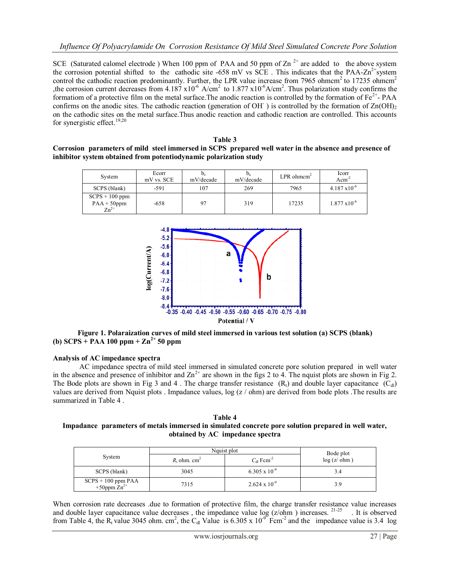SCE (Saturated calomel electrode) When 100 ppm of PAA and 50 ppm of  $Zn^{2+}$  are added to the above system the corrosion potential shifted to the cathodic site -658 mV vs SCE. This indicates that the PAA-Zn<sup>2+</sup>system control the cathodic reaction predominantly. Further, the LPR value increase from 7965 ohmcm<sup>2</sup> to 17235 ohmcm<sup>2</sup> the corrosion current decreases from 4.187  $x10^{-6}$  A/cm<sup>2</sup> to 1.877  $x10^{-6}$  A/cm<sup>2</sup>. Thus polarization study confirms the formatiom of a protective film on the metal surface. The anodic reaction is controlled by the formation of  $Fe^{2+}$ - PAA confirms on the anodic sites. The cathodic reaction (generation of OH $\cdot$ ) is controlled by the formation of Zn(OH)<sub>2</sub> on the cathodic sites on the metal surface.Thus anodic reaction and cathodic reaction are controlled. This accounts for synergistic effect.<sup>19,20</sup>

| Table 3 |                                                                                                        |  |  |  |  |  |  |  |
|---------|--------------------------------------------------------------------------------------------------------|--|--|--|--|--|--|--|
|         | Corrosion parameters of mild steel immersed in SCPS prepared well water in the absence and presence of |  |  |  |  |  |  |  |
|         | inhibitor system obtained from potentiodynamic polarization study                                      |  |  |  |  |  |  |  |

| System                                          | Ecorr<br>mV vs. SCE | $\mathbf{U}_\mathrm{C}$<br>mV/decade | $U_{a}$<br>mV/decade | LPR ohmcm <sup>2</sup> | Icorr<br>$Acm^{-2}$    |
|-------------------------------------------------|---------------------|--------------------------------------|----------------------|------------------------|------------------------|
| SCPS (blank)                                    | $-591$              | 107                                  | 269                  | 7965                   | $4.187 \times 10^{-6}$ |
| $SCPS + 100$ ppm<br>$PAA + 50$ ppm<br>$Zn^{2+}$ | $-658$              | 97                                   | 319                  | 17235                  | $1.877 \times 10^{-6}$ |



**Figure 1. Polaraization curves of mild steel immersed in various test solution (a) SCPS (blank) (b) SCPS + PAA 100 ppm + Zn2+ 50 ppm**

## **Analysis of AC impedance spectra**

AC impedance spectra of mild steel immersed in simulated concrete pore solution prepared in well water in the absence and presence of inhibitor and  $\text{Zn}^{2+}$  are shown in the figs 2 to 4. The nquist plots are shown in Fig 2. The Bode plots are shown in Fig 3 and 4. The charge transfer resistance  $(R_t)$  and double layer capacitance  $(C_{dl})$ values are derived from Nquist plots . Impadance values, log (z / ohm) are derived from bode plots .The results are summarized in Table 4 .

**Table 4 Impadance parameters of metals immersed in simulated concrete pore solution prepared in well water, obtained by AC impedance spectra** 

| System                                              | Nquist plot                | Bode plot                      |            |
|-----------------------------------------------------|----------------------------|--------------------------------|------------|
|                                                     | $R_t$ ohm. cm <sup>2</sup> | $C_{\rm dl}$ Fcm <sup>-2</sup> | log(z/dhm) |
| SCPS (blank)                                        | 3045                       | $6.305 \times 10^{-9}$         | 3.4        |
| $SCPS + 100 ppm \overline{PAA}$<br>+50ppm $Zn^{2+}$ | 7315                       | $2.624 \times 10^{-9}$         | 3.9        |

When corrosion rate decreases .due to formation of protective film, the charge transfer resistance value increases and double layer capacitance value decreases, the impedance value  $log (z/b)$  increases. <sup>21-25</sup> . It is observed from Table 4, the R<sub>t</sub> value 3045 ohm. cm<sup>2</sup>, the C<sub>dl</sub> Value is 6.305 x 10<sup>-9</sup> Fcm<sup>-2</sup> and the impedance value is 3.4 log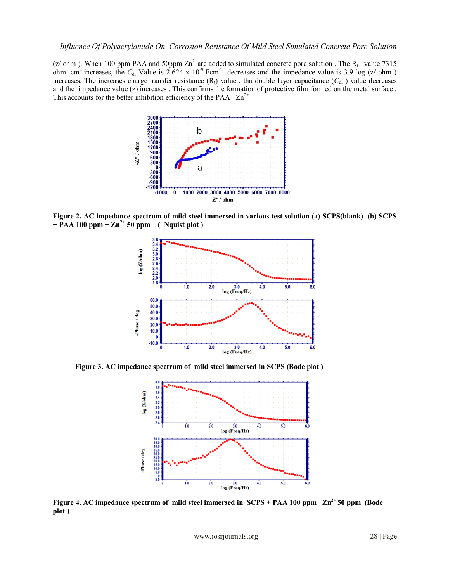(z/ ohm ). When 100 ppm PAA and 50ppm  $\text{Zn}^{2+}$ are added to simulated concrete pore solution . The R<sub>t</sub> value 7315 ohm. cm<sup>2</sup> increases, the  $C_{dI}$  Value is 2.624 x 10<sup>-9</sup> Fcm<sup>-2</sup> decreases and the impedance value is 3.9 log (z/ ohm ) increases. The increases charge transfer resistance  $(R_t)$  value, tha double layer capacitance  $(C_{dl})$  value decreases and the impedance value (z) increases . This confirms the formation of protective film formed on the metal surface . This accounts for the better inhibition efficiency of the PAA  $-Zn^{2+}$ 



**Figure 2. AC impedance spectrum of mild steel immersed in various test solution (a) SCPS(blank) (b) SCPS + PAA 100 ppm + Zn2+ 50 ppm ( Nquist plot** )



 **Figure 3. AC impedance spectrum of mild steel immersed in SCPS (Bode plot )**



**Figure 4. AC impedance spectrum of mild steel immersed in SCPS + PAA 100 ppm Zn2+ 50 ppm (Bode plot )**